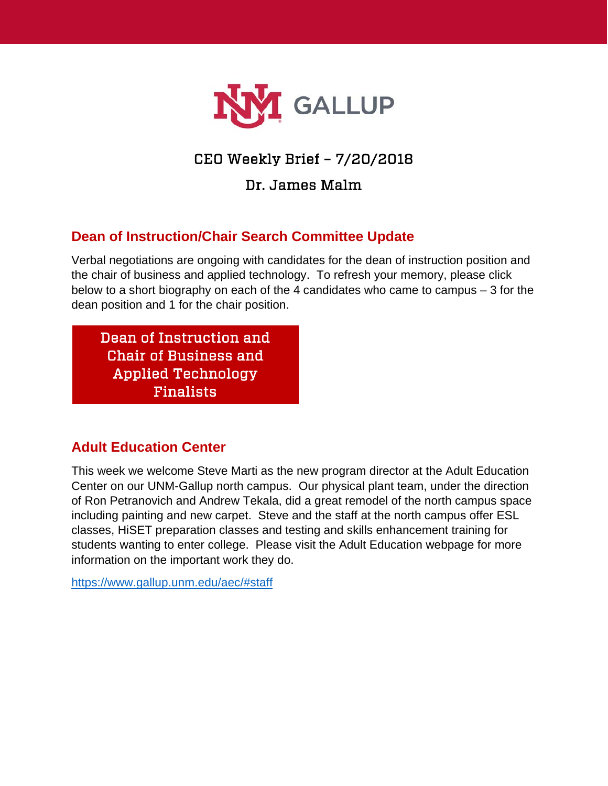

# CEO Weekly Brief – 7/20/2018

Dr. James Malm

# **Dean of Instruction/Chair Search Committee Update**

Verbal negotiations are ongoing with candidates for the dean of instruction position and the chair of business and applied technology. To refresh your memory, please click below to a short biography on each of the 4 candidates who came to campus – 3 for the dean position and 1 for the chair position.

[Dean of Instruction and](http://unmgnewsevents.blogspot.com/2018/07/dean-of-instruction-finalists.html)  Chair of Business and Applied Technology Finalists

## **Adult Education Center**

This week we welcome Steve Marti as the new program director at the Adult Education Center on our UNM-Gallup north campus. Our physical plant team, under the direction of Ron Petranovich and Andrew Tekala, did a great remodel of the north campus space including painting and new carpet. Steve and the staff at the north campus offer ESL classes, HiSET preparation classes and testing and skills enhancement training for students wanting to enter college. Please visit the Adult Education webpage for more information on the important work they do.

<https://www.gallup.unm.edu/aec/#staff>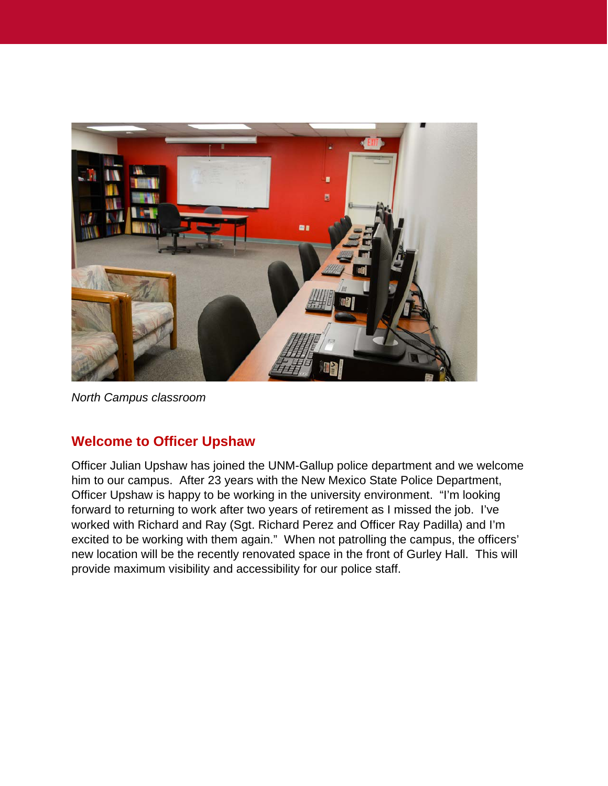

*North Campus classroom*

#### **Welcome to Officer Upshaw**

Officer Julian Upshaw has joined the UNM-Gallup police department and we welcome him to our campus. After 23 years with the New Mexico State Police Department, Officer Upshaw is happy to be working in the university environment. "I'm looking forward to returning to work after two years of retirement as I missed the job. I've worked with Richard and Ray (Sgt. Richard Perez and Officer Ray Padilla) and I'm excited to be working with them again." When not patrolling the campus, the officers' new location will be the recently renovated space in the front of Gurley Hall. This will provide maximum visibility and accessibility for our police staff.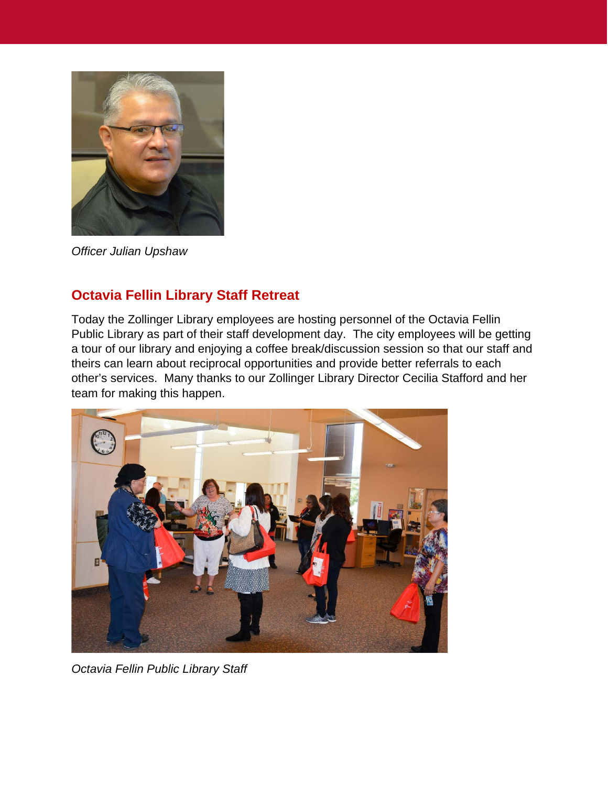

*Officer Julian Upshaw*

## **Octavia Fellin Library Staff Retreat**

Today the Zollinger Library employees are hosting personnel of the Octavia Fellin Public Library as part of their staff development day. The city employees will be getting a tour of our library and enjoying a coffee break/discussion session so that our staff and theirs can learn about reciprocal opportunities and provide better referrals to each other's services. Many thanks to our Zollinger Library Director Cecilia Stafford and her team for making this happen.



*Octavia Fellin Public Library Staff*